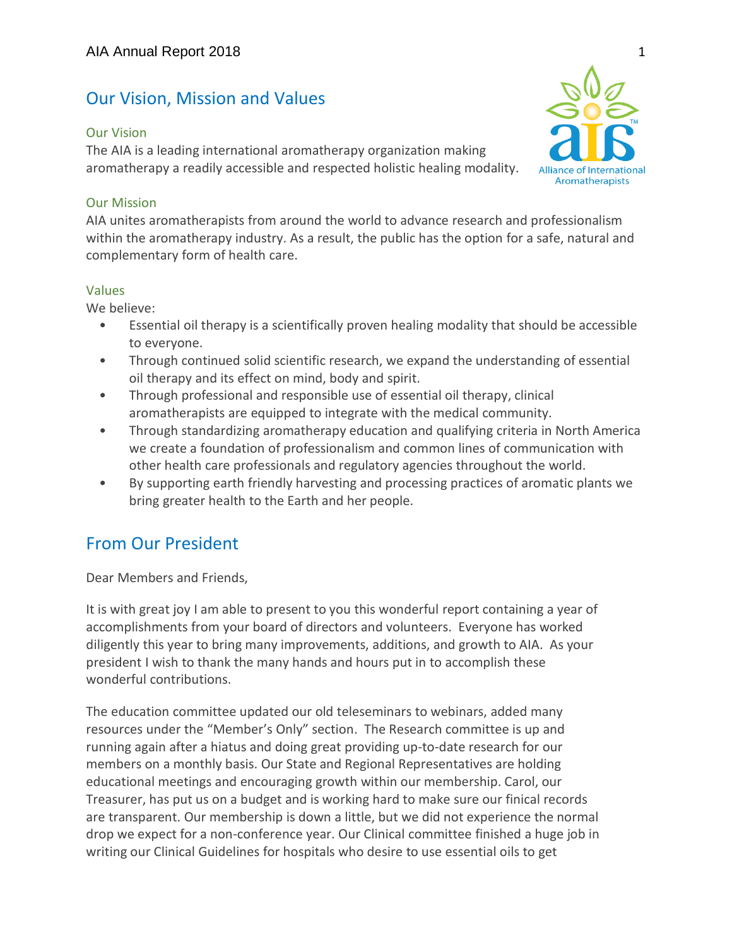# Our Vision, Mission and Values

### Our Vision

The AIA is a leading international aromatherapy organization making aromatherapy a readily accessible and respected holistic healing modality.

### Our Mission

AIA unites aromatherapists from around the world to advance research and professionalism within the aromatherapy industry. As a result, the public has the option for a safe, natural and complementary form of health care.

### Values

We believe:

- Essential oil therapy is a scientifically proven healing modality that should be accessible to everyone.
- Through continued solid scientific research, we expand the understanding of essential oil therapy and its effect on mind, body and spirit.
- Through professional and responsible use of essential oil therapy, clinical aromatherapists are equipped to integrate with the medical community.
- Through standardizing aromatherapy education and qualifying criteria in North America we create a foundation of professionalism and common lines of communication with other health care professionals and regulatory agencies throughout the world.
- By supporting earth friendly harvesting and processing practices of aromatic plants we bring greater health to the Earth and her people.

# From Our President

Dear Members and Friends,

It is with great joy I am able to present to you this wonderful report containing a year of accomplishments from your board of directors and volunteers. Everyone has worked diligently this year to bring many improvements, additions, and growth to AIA. As your president I wish to thank the many hands and hours put in to accomplish these wonderful contributions.

The education committee updated our old teleseminars to webinars, added many resources under the "Member's Only" section. The Research committee is up and running again after a hiatus and doing great providing up-to-date research for our members on a monthly basis. Our State and Regional Representatives are holding educational meetings and encouraging growth within our membership. Carol, our Treasurer, has put us on a budget and is working hard to make sure our finical records are transparent. Our membership is down a little, but we did not experience the normal drop we expect for a non-conference year. Our Clinical committee finished a huge job in writing our Clinical Guidelines for hospitals who desire to use essential oils to get

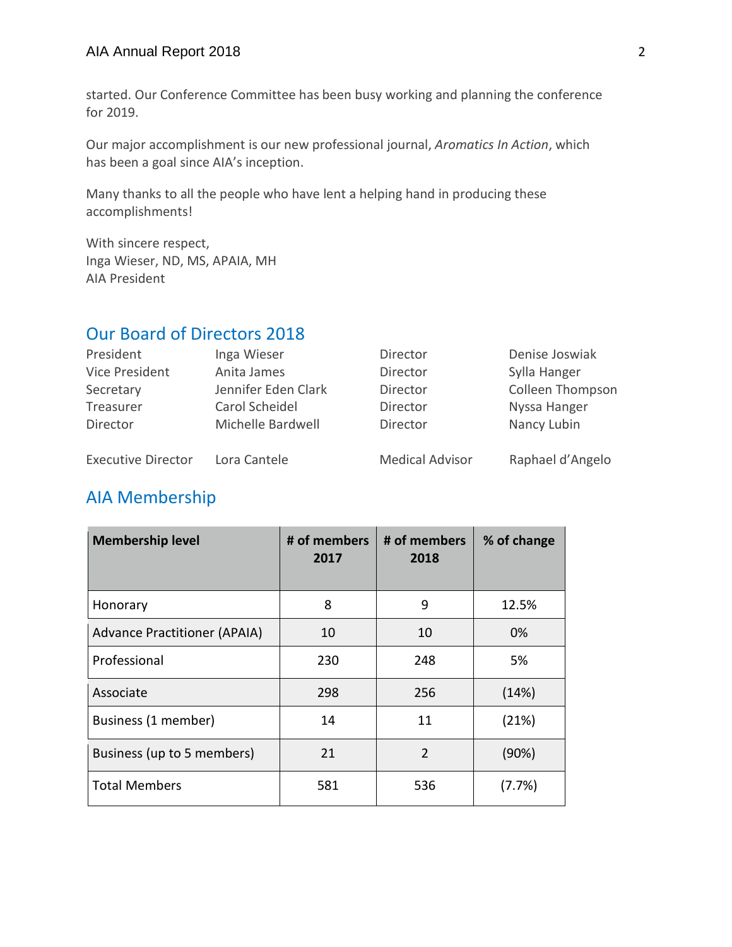### AIA Annual Report 2018 2

started. Our Conference Committee has been busy working and planning the conference for 2019.

Our major accomplishment is our new professional journal, *Aromatics In Action*, which has been a goal since AIA's inception.

Many thanks to all the people who have lent a helping hand in producing these accomplishments!

With sincere respect, Inga Wieser, ND, MS, APAIA, MH AIA President

# Our Board of Directors 2018

| President                 | Inga Wieser         | Director               | Denise Joswiak   |
|---------------------------|---------------------|------------------------|------------------|
| Vice President            | Anita James         | Director               | Sylla Hanger     |
| Secretary                 | Jennifer Eden Clark | Director               | Colleen Thompson |
| Treasurer                 | Carol Scheidel      | Director               | Nyssa Hanger     |
| Director                  | Michelle Bardwell   | Director               | Nancy Lubin      |
| <b>Executive Director</b> | Lora Cantele        | <b>Medical Advisor</b> | Raphael d'Angelo |

# AIA Membership

| <b>Membership level</b>             | # of members<br>2017 | # of members<br>2018 | % of change |
|-------------------------------------|----------------------|----------------------|-------------|
| Honorary                            | 8                    | 9                    | 12.5%       |
| <b>Advance Practitioner (APAIA)</b> | 10                   | 10                   | 0%          |
| Professional                        | 230                  | 248                  | 5%          |
| Associate                           | 298                  | 256                  | (14%)       |
| Business (1 member)                 | 14                   | 11                   | (21%)       |
| Business (up to 5 members)          | 21                   | $\mathcal{P}$        | (90%)       |
| <b>Total Members</b>                | 581                  | 536                  | (7.7%)      |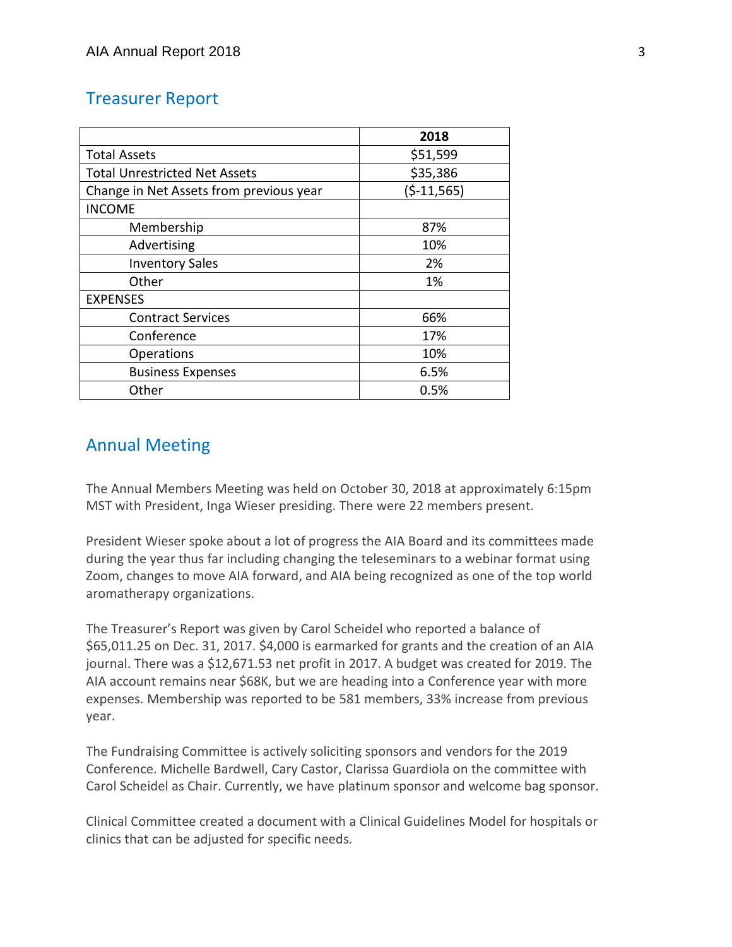## Treasurer Report

|                                         | 2018         |
|-----------------------------------------|--------------|
| <b>Total Assets</b>                     | \$51,599     |
| <b>Total Unrestricted Net Assets</b>    | \$35,386     |
| Change in Net Assets from previous year | $(5-11,565)$ |
| <b>INCOME</b>                           |              |
| Membership                              | 87%          |
| Advertising                             | 10%          |
| <b>Inventory Sales</b>                  | 2%           |
| Other                                   | 1%           |
| <b>EXPENSES</b>                         |              |
| <b>Contract Services</b>                | 66%          |
| Conference                              | 17%          |
| Operations                              | 10%          |
| <b>Business Expenses</b>                | 6.5%         |
| Other                                   | 0.5%         |

# Annual Meeting

The Annual Members Meeting was held on October 30, 2018 at approximately 6:15pm MST with President, Inga Wieser presiding. There were 22 members present.

President Wieser spoke about a lot of progress the AIA Board and its committees made during the year thus far including changing the teleseminars to a webinar format using Zoom, changes to move AIA forward, and AIA being recognized as one of the top world aromatherapy organizations.

The Treasurer's Report was given by Carol Scheidel who reported a balance of \$65,011.25 on Dec. 31, 2017. \$4,000 is earmarked for grants and the creation of an AIA journal. There was a \$12,671.53 net profit in 2017. A budget was created for 2019. The AIA account remains near \$68K, but we are heading into a Conference year with more expenses. Membership was reported to be 581 members, 33% increase from previous year.

The Fundraising Committee is actively soliciting sponsors and vendors for the 2019 Conference. Michelle Bardwell, Cary Castor, Clarissa Guardiola on the committee with Carol Scheidel as Chair. Currently, we have platinum sponsor and welcome bag sponsor.

Clinical Committee created a document with a Clinical Guidelines Model for hospitals or clinics that can be adjusted for specific needs.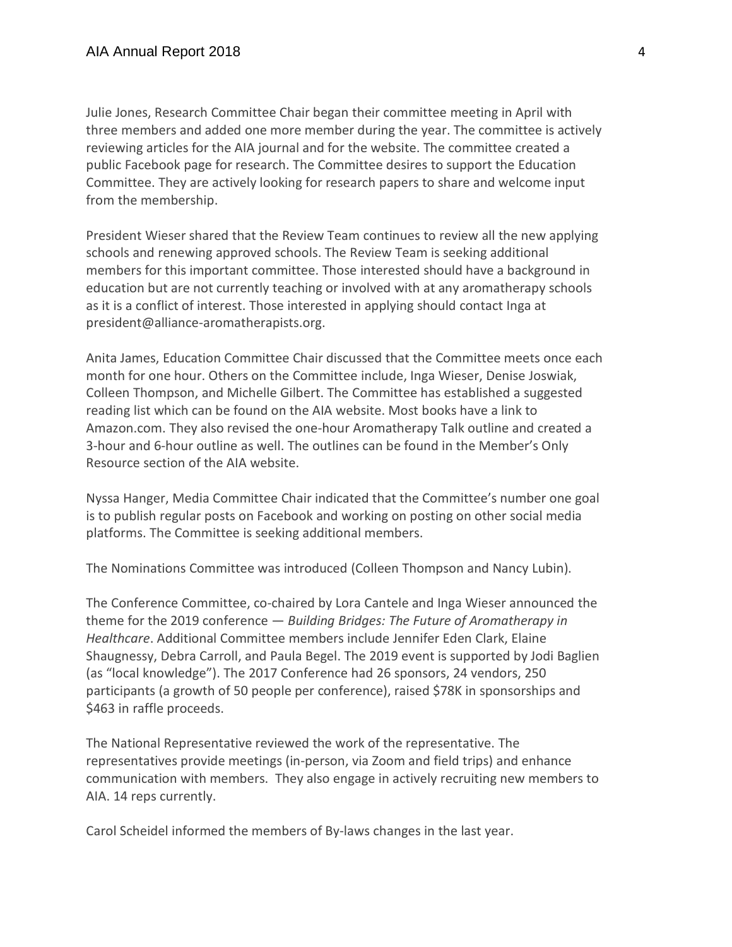Julie Jones, Research Committee Chair began their committee meeting in April with three members and added one more member during the year. The committee is actively reviewing articles for the AIA journal and for the website. The committee created a public Facebook page for research. The Committee desires to support the Education Committee. They are actively looking for research papers to share and welcome input from the membership.

President Wieser shared that the Review Team continues to review all the new applying schools and renewing approved schools. The Review Team is seeking additional members for this important committee. Those interested should have a background in education but are not currently teaching or involved with at any aromatherapy schools as it is a conflict of interest. Those interested in applying should contact Inga at president@alliance-aromatherapists.org.

Anita James, Education Committee Chair discussed that the Committee meets once each month for one hour. Others on the Committee include, Inga Wieser, Denise Joswiak, Colleen Thompson, and Michelle Gilbert. The Committee has established a suggested reading list which can be found on the AIA website. Most books have a link to Amazon.com. They also revised the one-hour Aromatherapy Talk outline and created a 3-hour and 6-hour outline as well. The outlines can be found in the Member's Only Resource section of the AIA website.

Nyssa Hanger, Media Committee Chair indicated that the Committee's number one goal is to publish regular posts on Facebook and working on posting on other social media platforms. The Committee is seeking additional members.

The Nominations Committee was introduced (Colleen Thompson and Nancy Lubin).

The Conference Committee, co-chaired by Lora Cantele and Inga Wieser announced the theme for the 2019 conference — *Building Bridges: The Future of Aromatherapy in Healthcare*. Additional Committee members include Jennifer Eden Clark, Elaine Shaugnessy, Debra Carroll, and Paula Begel. The 2019 event is supported by Jodi Baglien (as "local knowledge"). The 2017 Conference had 26 sponsors, 24 vendors, 250 participants (a growth of 50 people per conference), raised \$78K in sponsorships and \$463 in raffle proceeds.

The National Representative reviewed the work of the representative. The representatives provide meetings (in-person, via Zoom and field trips) and enhance communication with members. They also engage in actively recruiting new members to AIA. 14 reps currently.

Carol Scheidel informed the members of By-laws changes in the last year.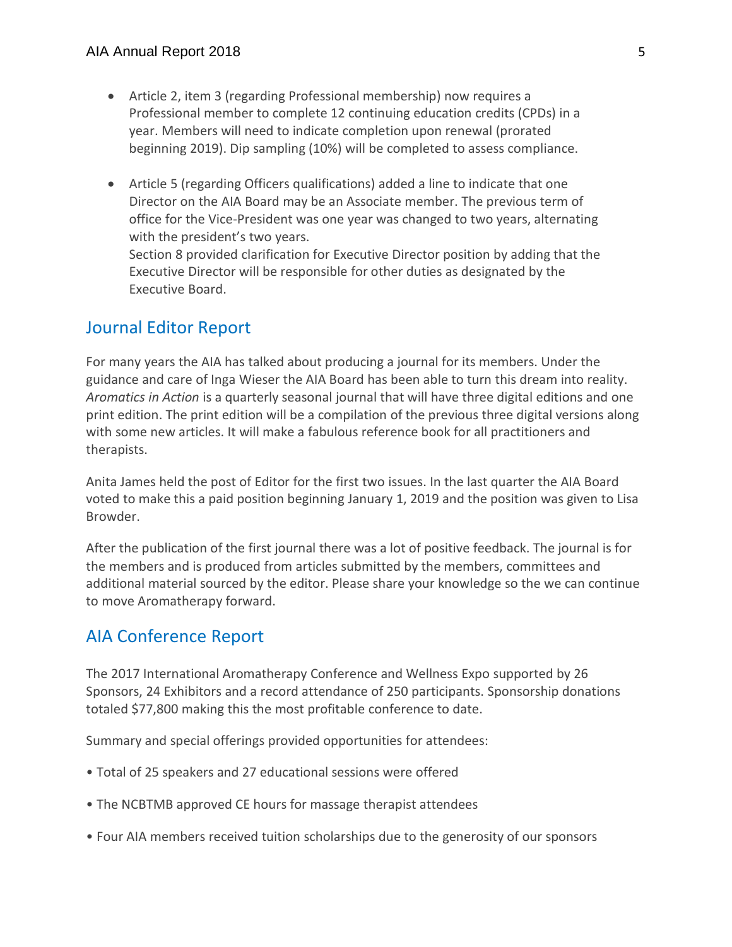- Article 2, item 3 (regarding Professional membership) now requires a Professional member to complete 12 continuing education credits (CPDs) in a year. Members will need to indicate completion upon renewal (prorated beginning 2019). Dip sampling (10%) will be completed to assess compliance.
- Article 5 (regarding Officers qualifications) added a line to indicate that one Director on the AIA Board may be an Associate member. The previous term of office for the Vice-President was one year was changed to two years, alternating with the president's two years. Section 8 provided clarification for Executive Director position by adding that the Executive Director will be responsible for other duties as designated by the

## Journal Editor Report

Executive Board.

For many years the AIA has talked about producing a journal for its members. Under the guidance and care of Inga Wieser the AIA Board has been able to turn this dream into reality. *Aromatics in Action* is a quarterly seasonal journal that will have three digital editions and one print edition. The print edition will be a compilation of the previous three digital versions along with some new articles. It will make a fabulous reference book for all practitioners and therapists.

Anita James held the post of Editor for the first two issues. In the last quarter the AIA Board voted to make this a paid position beginning January 1, 2019 and the position was given to Lisa Browder.

After the publication of the first journal there was a lot of positive feedback. The journal is for the members and is produced from articles submitted by the members, committees and additional material sourced by the editor. Please share your knowledge so the we can continue to move Aromatherapy forward.

## AIA Conference Report

The 2017 International Aromatherapy Conference and Wellness Expo supported by 26 Sponsors, 24 Exhibitors and a record attendance of 250 participants. Sponsorship donations totaled \$77,800 making this the most profitable conference to date.

Summary and special offerings provided opportunities for attendees:

- Total of 25 speakers and 27 educational sessions were offered
- The NCBTMB approved CE hours for massage therapist attendees
- Four AIA members received tuition scholarships due to the generosity of our sponsors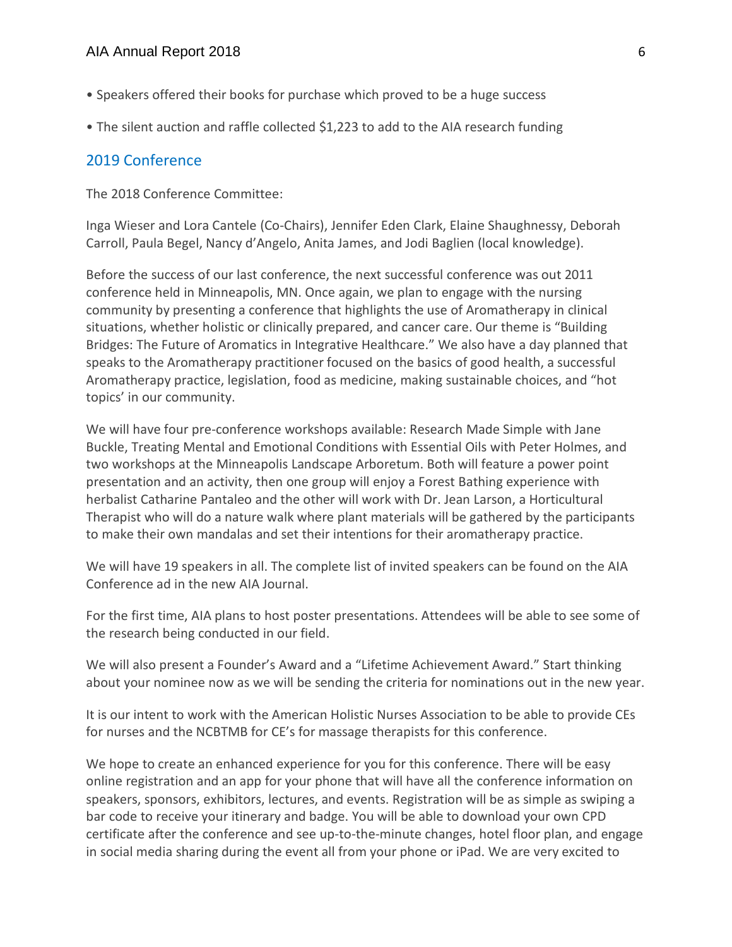- Speakers offered their books for purchase which proved to be a huge success
- The silent auction and raffle collected \$1,223 to add to the AIA research funding

### 2019 Conference

The 2018 Conference Committee:

Inga Wieser and Lora Cantele (Co-Chairs), Jennifer Eden Clark, Elaine Shaughnessy, Deborah Carroll, Paula Begel, Nancy d'Angelo, Anita James, and Jodi Baglien (local knowledge).

Before the success of our last conference, the next successful conference was out 2011 conference held in Minneapolis, MN. Once again, we plan to engage with the nursing community by presenting a conference that highlights the use of Aromatherapy in clinical situations, whether holistic or clinically prepared, and cancer care. Our theme is "Building Bridges: The Future of Aromatics in Integrative Healthcare." We also have a day planned that speaks to the Aromatherapy practitioner focused on the basics of good health, a successful Aromatherapy practice, legislation, food as medicine, making sustainable choices, and "hot topics' in our community.

We will have four pre-conference workshops available: Research Made Simple with Jane Buckle, Treating Mental and Emotional Conditions with Essential Oils with Peter Holmes, and two workshops at the Minneapolis Landscape Arboretum. Both will feature a power point presentation and an activity, then one group will enjoy a Forest Bathing experience with herbalist Catharine Pantaleo and the other will work with Dr. Jean Larson, a Horticultural Therapist who will do a nature walk where plant materials will be gathered by the participants to make their own mandalas and set their intentions for their aromatherapy practice.

We will have 19 speakers in all. The complete list of invited speakers can be found on the AIA Conference ad in the new AIA Journal.

For the first time, AIA plans to host poster presentations. Attendees will be able to see some of the research being conducted in our field.

We will also present a Founder's Award and a "Lifetime Achievement Award." Start thinking about your nominee now as we will be sending the criteria for nominations out in the new year.

It is our intent to work with the American Holistic Nurses Association to be able to provide CEs for nurses and the NCBTMB for CE's for massage therapists for this conference.

We hope to create an enhanced experience for you for this conference. There will be easy online registration and an app for your phone that will have all the conference information on speakers, sponsors, exhibitors, lectures, and events. Registration will be as simple as swiping a bar code to receive your itinerary and badge. You will be able to download your own CPD certificate after the conference and see up-to-the-minute changes, hotel floor plan, and engage in social media sharing during the event all from your phone or iPad. We are very excited to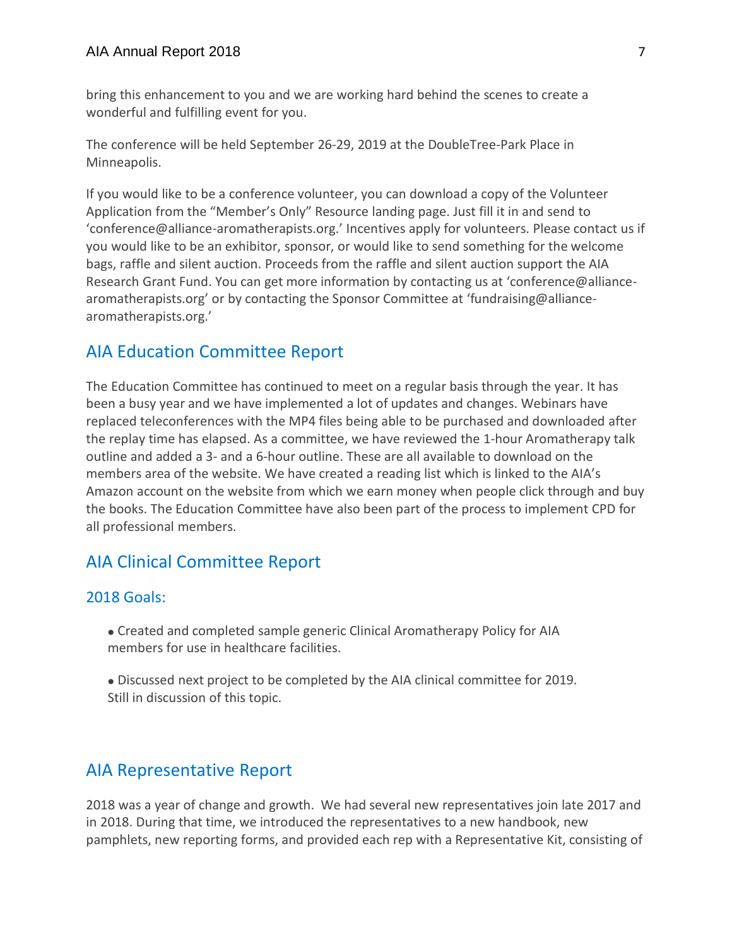bring this enhancement to you and we are working hard behind the scenes to create a wonderful and fulfilling event for you.

The conference will be held September 26-29, 2019 at the DoubleTree-Park Place in Minneapolis.

If you would like to be a conference volunteer, you can download a copy of the Volunteer Application from the "Member's Only" Resource landing page. Just fill it in and send to 'conference@alliance-aromatherapists.org.' Incentives apply for volunteers. Please contact us if you would like to be an exhibitor, sponsor, or would like to send something for the welcome bags, raffle and silent auction. Proceeds from the raffle and silent auction support the AIA Research Grant Fund. You can get more information by contacting us at 'conference@alliancearomatherapists.org' or by contacting the Sponsor Committee at 'fundraising@alliancearomatherapists.org.'

## AIA Education Committee Report

The Education Committee has continued to meet on a regular basis through the year. It has been a busy year and we have implemented a lot of updates and changes. Webinars have replaced teleconferences with the MP4 files being able to be purchased and downloaded after the replay time has elapsed. As a committee, we have reviewed the 1-hour Aromatherapy talk outline and added a 3- and a 6-hour outline. These are all available to download on the members area of the website. We have created a reading list which is linked to the AIA's Amazon account on the website from which we earn money when people click through and buy the books. The Education Committee have also been part of the process to implement CPD for all professional members.

# AIA Clinical Committee Report

### 2018 Goals:

- Created and completed sample generic Clinical Aromatherapy Policy for AIA members for use in healthcare facilities.
- Discussed next project to be completed by the AIA clinical committee for 2019. Still in discussion of this topic.

# AIA Representative Report

2018 was a year of change and growth. We had several new representatives join late 2017 and in 2018. During that time, we introduced the representatives to a new handbook, new pamphlets, new reporting forms, and provided each rep with a Representative Kit, consisting of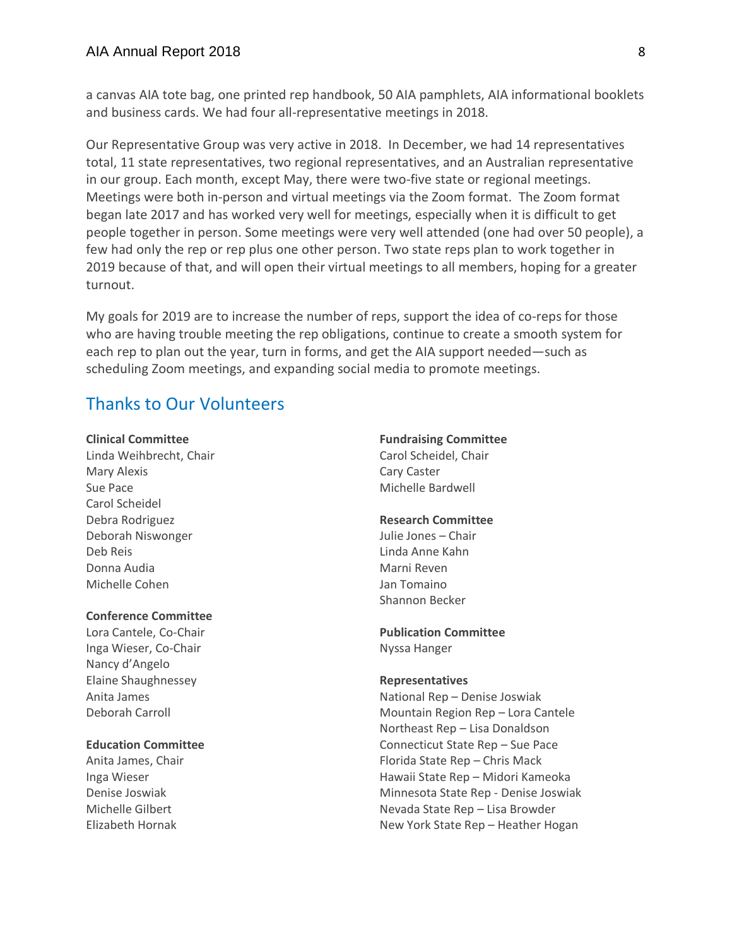a canvas AIA tote bag, one printed rep handbook, 50 AIA pamphlets, AIA informational booklets and business cards. We had four all-representative meetings in 2018.

Our Representative Group was very active in 2018. In December, we had 14 representatives total, 11 state representatives, two regional representatives, and an Australian representative in our group. Each month, except May, there were two-five state or regional meetings. Meetings were both in-person and virtual meetings via the Zoom format. The Zoom format began late 2017 and has worked very well for meetings, especially when it is difficult to get people together in person. Some meetings were very well attended (one had over 50 people), a few had only the rep or rep plus one other person. Two state reps plan to work together in 2019 because of that, and will open their virtual meetings to all members, hoping for a greater turnout.

My goals for 2019 are to increase the number of reps, support the idea of co-reps for those who are having trouble meeting the rep obligations, continue to create a smooth system for each rep to plan out the year, turn in forms, and get the AIA support needed—such as scheduling Zoom meetings, and expanding social media to promote meetings.

## Thanks to Our Volunteers

#### **Clinical Committee**

Linda Weihbrecht, Chair Mary Alexis Sue Pace Carol Scheidel Debra Rodriguez Deborah Niswonger Deb Reis Donna Audia Michelle Cohen

#### **Conference Committee**

Lora Cantele, Co-Chair Inga Wieser, Co-Chair Nancy d'Angelo Elaine Shaughnessey Anita James Deborah Carroll

#### **Education Committee**

Anita James, Chair Inga Wieser Denise Joswiak Michelle Gilbert Elizabeth Hornak

#### **Fundraising Committee** Carol Scheidel, Chair Cary Caster Michelle Bardwell

# **Research Committee**

Julie Jones – Chair Linda Anne Kahn Marni Reven Jan Tomaino Shannon Becker

#### **Publication Committee** Nyssa Hanger

#### **Representatives**

National Rep – Denise Joswiak Mountain Region Rep – Lora Cantele Northeast Rep – Lisa Donaldson Connecticut State Rep – Sue Pace Florida State Rep – Chris Mack Hawaii State Rep – Midori Kameoka Minnesota State Rep - Denise Joswiak Nevada State Rep – Lisa Browder New York State Rep – Heather Hogan